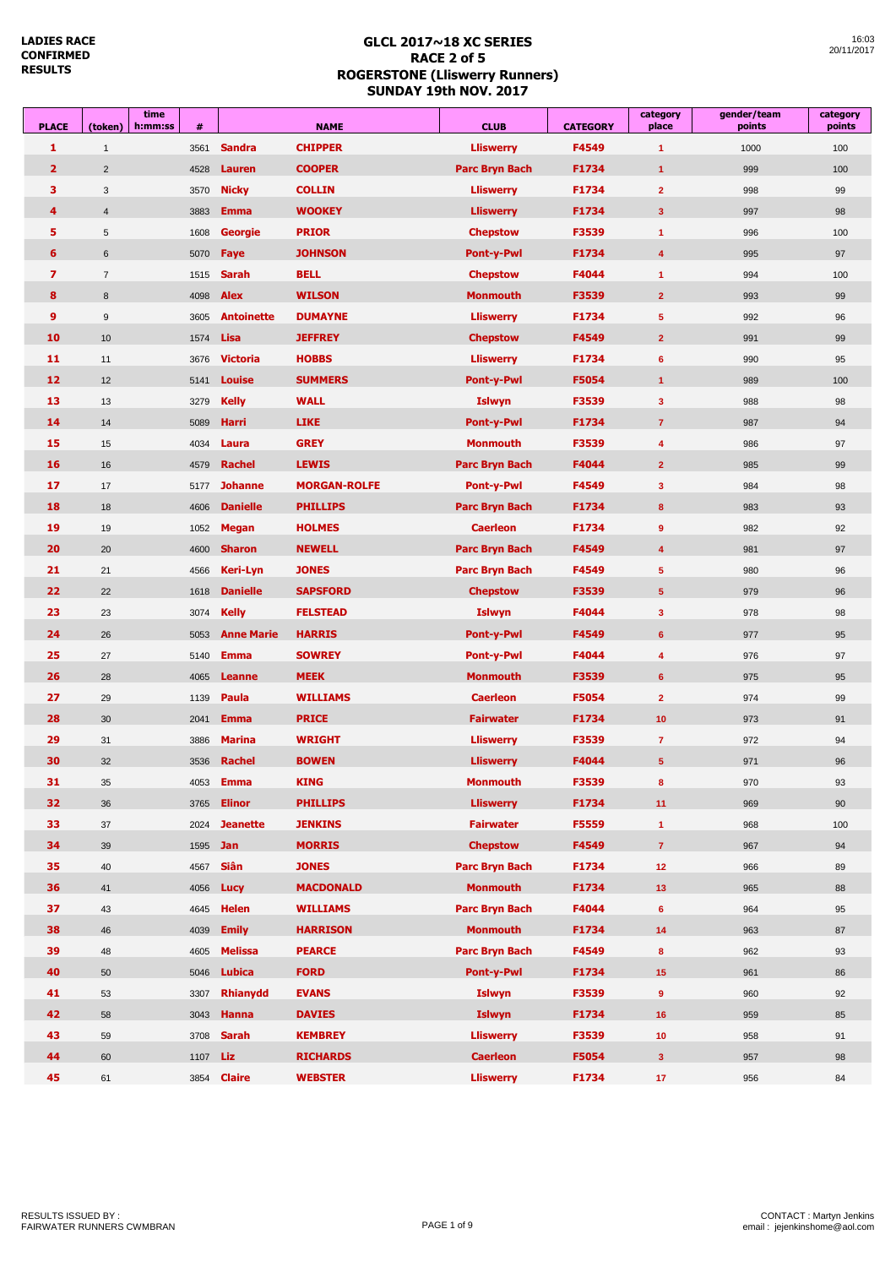| <b>PLACE</b>   | time<br>(token)<br>h:mm:ss | #               |                    | <b>NAME</b>         | <b>CLUB</b>           | <b>CATEGORY</b> | category<br>place    | gender/team<br>points | category<br>points |
|----------------|----------------------------|-----------------|--------------------|---------------------|-----------------------|-----------------|----------------------|-----------------------|--------------------|
| 1              | $\overline{1}$             | 3561            | <b>Sandra</b>      | <b>CHIPPER</b>      | <b>Lliswerry</b>      | F4549           | $\blacktriangleleft$ | 1000                  | 100                |
| $\overline{2}$ | $\overline{2}$             | 4528            | <b>Lauren</b>      | <b>COOPER</b>       | <b>Parc Bryn Bach</b> | F1734           | $\blacktriangleleft$ | 999                   | 100                |
| 3              | 3                          | 3570            | <b>Nicky</b>       | <b>COLLIN</b>       | <b>Lliswerry</b>      | F1734           | $\overline{2}$       | 998                   | 99                 |
| 4              | $\overline{4}$             | 3883            | <b>Emma</b>        | <b>WOOKEY</b>       | <b>Lliswerry</b>      | F1734           | $\mathbf{3}$         | 997                   | 98                 |
| 5              | 5                          | 1608            | <b>Georgie</b>     | <b>PRIOR</b>        | <b>Chepstow</b>       | F3539           | $\blacktriangleleft$ | 996                   | 100                |
| 6              | 6                          | 5070            | Faye               | <b>JOHNSON</b>      | <b>Pont-y-Pwl</b>     | F1734           | 4                    | 995                   | 97                 |
| 7              | $\overline{7}$             | 1515            | <b>Sarah</b>       | <b>BELL</b>         | <b>Chepstow</b>       | F4044           | $\blacktriangleleft$ | 994                   | 100                |
| 8              | 8                          | 4098            | <b>Alex</b>        | <b>WILSON</b>       | <b>Monmouth</b>       | F3539           | $\overline{2}$       | 993                   | 99                 |
| 9              | $\boldsymbol{9}$           | 3605            | <b>Antoinette</b>  | <b>DUMAYNE</b>      | <b>Lliswerry</b>      | F1734           | $\sqrt{5}$           | 992                   | 96                 |
| 10             | 10                         | 1574            | Lisa               | <b>JEFFREY</b>      | <b>Chepstow</b>       | F4549           | $\overline{2}$       | 991                   | 99                 |
| 11             | 11                         | 3676            | <b>Victoria</b>    | <b>HOBBS</b>        | <b>Lliswerry</b>      | F1734           | 6                    | 990                   | 95                 |
| 12             | 12                         | 5141            | <b>Louise</b>      | <b>SUMMERS</b>      | <b>Pont-y-Pwl</b>     | F5054           | $\blacktriangleleft$ | 989                   | 100                |
| 13             | 13                         | 3279            | <b>Kelly</b>       | <b>WALL</b>         | <b>Islwyn</b>         | F3539           | $\mathbf{3}$         | 988                   | 98                 |
| 14             | 14                         | 5089            | <b>Harri</b>       | <b>LIKE</b>         | Pont-y-Pwl            | F1734           | $\overline{7}$       | 987                   | 94                 |
| 15             | 15                         | 4034            | Laura              | <b>GREY</b>         | <b>Monmouth</b>       | F3539           | 4                    | 986                   | 97                 |
| 16             | 16                         | 4579            | <b>Rachel</b>      | <b>LEWIS</b>        | <b>Parc Bryn Bach</b> | F4044           | $\overline{2}$       | 985                   | 99                 |
| 17             | 17                         | 5177            | <b>Johanne</b>     | <b>MORGAN-ROLFE</b> | <b>Pont-y-Pwl</b>     | F4549           | 3                    | 984                   | 98                 |
| 18             | 18                         | 4606            | <b>Danielle</b>    | <b>PHILLIPS</b>     | <b>Parc Bryn Bach</b> | F1734           | 8                    | 983                   | 93                 |
| 19             | 19                         | 1052            | <b>Megan</b>       | <b>HOLMES</b>       | <b>Caerleon</b>       | F1734           | 9                    | 982                   | 92                 |
| 20             | 20                         | 4600            | <b>Sharon</b>      | <b>NEWELL</b>       | <b>Parc Bryn Bach</b> | F4549           | 4                    | 981                   | 97                 |
| 21             | 21                         | 4566            | <b>Keri-Lyn</b>    | <b>JONES</b>        | <b>Parc Bryn Bach</b> | F4549           | $\sqrt{5}$           | 980                   | 96                 |
| 22             | 22                         | 1618            | <b>Danielle</b>    | <b>SAPSFORD</b>     | <b>Chepstow</b>       | F3539           | $5\phantom{.0}$      | 979                   | 96                 |
| 23             | 23                         | 3074            | <b>Kelly</b>       | <b>FELSTEAD</b>     | <b>Islwyn</b>         | F4044           | 3                    | 978                   | 98                 |
| 24             | 26                         | 5053            | <b>Anne Marie</b>  | <b>HARRIS</b>       | Pont-y-Pwl            | F4549           | $6\phantom{1}$       | 977                   | 95                 |
| 25             | 27                         | 5140            | <b>Emma</b>        | <b>SOWREY</b>       | <b>Pont-y-Pwl</b>     | F4044           | 4                    | 976                   | 97                 |
| 26             | 28                         | 4065            | Leanne             | <b>MEEK</b>         | <b>Monmouth</b>       | F3539           | 6                    | 975                   | 95                 |
| 27             | 29                         | 1139            | Paula              | <b>WILLIAMS</b>     | <b>Caerleon</b>       | F5054           | $\overline{2}$       | 974                   | 99                 |
| 28             | 30                         | 2041            | <b>Emma</b>        | <b>PRICE</b>        | <b>Fairwater</b>      | F1734           | 10                   | 973                   | 91                 |
| 29             | 31                         | 3886            | <b>Marina</b>      | <b>WRIGHT</b>       | <b>Lliswerry</b>      | F3539           | $\overline{7}$       | 972                   | 94                 |
| 30             | 32                         | 3536            | <b>Rachel</b>      | <b>BOWEN</b>        | <b>Lliswerry</b>      | F4044           | $5\phantom{.0}$      | 971                   | 96                 |
| 31             | 35                         | 4053            | <b>Emma</b>        | KING                | Monmouth              | F3539           | 8                    | 970                   | 93                 |
| 32             | 36                         | 3765            | <b>Elinor</b>      | <b>PHILLIPS</b>     | <b>Lliswerry</b>      | F1734           | 11                   | 969                   | 90                 |
| 33             | 37                         | 2024            | <b>Jeanette</b>    | <b>JENKINS</b>      | <b>Fairwater</b>      | F5559           | $\blacktriangleleft$ | 968                   | 100                |
| 34             | 39                         | 1595 <b>Jan</b> |                    | <b>MORRIS</b>       | <b>Chepstow</b>       | F4549           | $\overline{7}$       | 967                   | 94                 |
| 35             | 40                         | 4567            | Siân               | <b>JONES</b>        | <b>Parc Bryn Bach</b> | F1734           | 12                   | 966                   | 89                 |
| 36             | 41                         | 4056            | Lucy               | <b>MACDONALD</b>    | <b>Monmouth</b>       | F1734           | 13                   | 965                   | 88                 |
| 37             | 43                         | 4645            | <b>Helen</b>       | <b>WILLIAMS</b>     | Parc Bryn Bach        | F4044           | $6\phantom{1}$       | 964                   | 95                 |
| 38             | 46                         | 4039            | <b>Emily</b>       | <b>HARRISON</b>     | <b>Monmouth</b>       | F1734           | 14                   | 963                   | 87                 |
| 39             | 48                         | 4605            | <b>Melissa</b>     | <b>PEARCE</b>       | Parc Bryn Bach        | F4549           | $\bf{8}$             | 962                   | 93                 |
| 40             | 50                         | 5046            | Lubica             | <b>FORD</b>         | Pont-y-Pwl            | F1734           | 15                   | 961                   | 86                 |
| 41             | 53                         | 3307            | Rhianydd           | <b>EVANS</b>        | <b>Islwyn</b>         | F3539           | $\boldsymbol{9}$     | 960                   | 92                 |
| 42             | 58                         | 3043            | Hanna              | <b>DAVIES</b>       | <b>Islwyn</b>         | F1734           | 16                   | 959                   | 85                 |
| 43             | 59                         | 3708            | <b>Sarah</b>       | <b>KEMBREY</b>      | <b>Lliswerry</b>      | F3539           | 10                   | 958                   | 91                 |
| 44             | 60                         | 1107            | Liz                | <b>RICHARDS</b>     | <b>Caerleon</b>       | F5054           | 3 <sup>2</sup>       | 957                   | 98                 |
| 45             | 61                         |                 | 3854 <b>Claire</b> | <b>WEBSTER</b>      | <b>Lliswerry</b>      | F1734           | 17                   | 956                   | 84                 |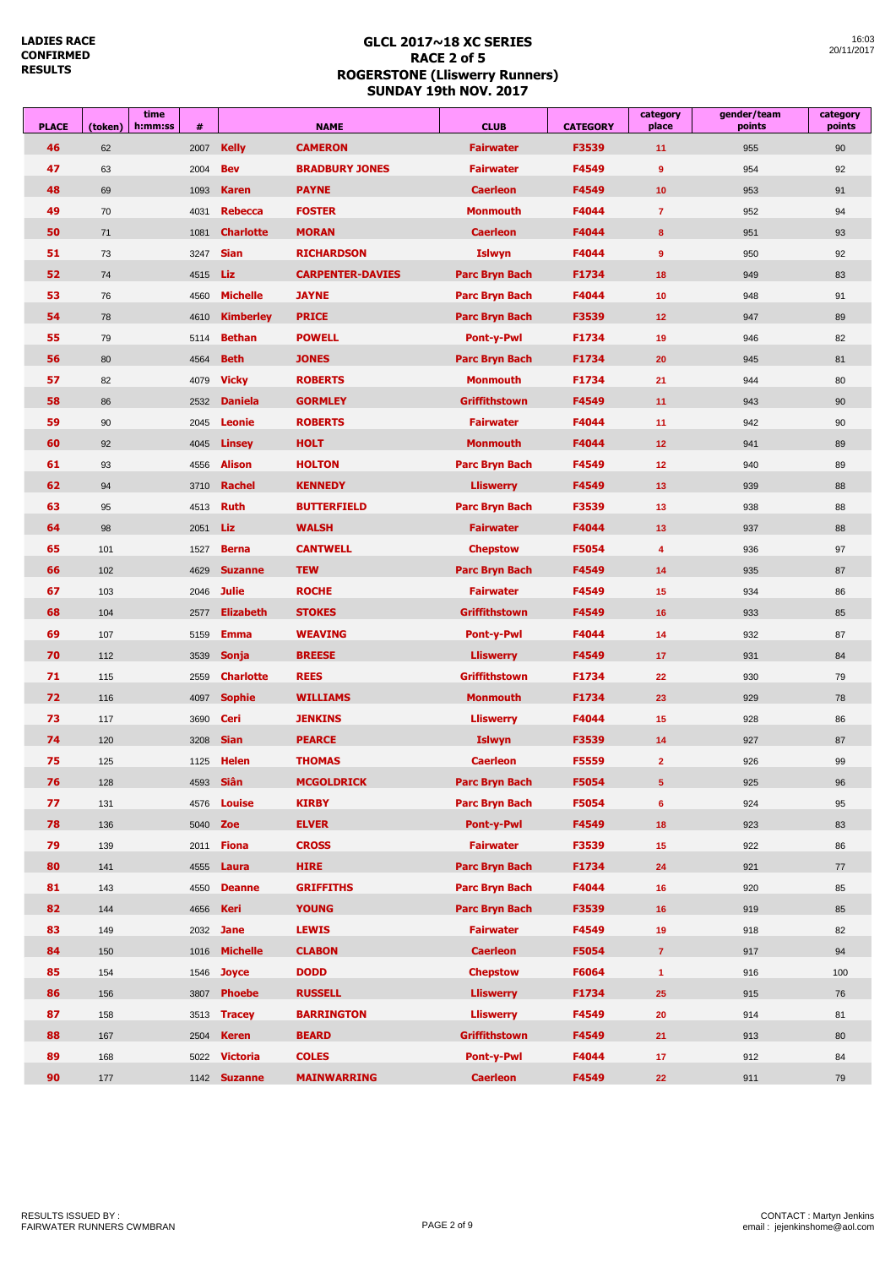| <b>PLACE</b> | (token) | time<br>h:mm:ss | #               |                     | <b>NAME</b>             | <b>CLUB</b>           | <b>CATEGORY</b> | category<br>place    | gender/team<br>points | category<br>points |
|--------------|---------|-----------------|-----------------|---------------------|-------------------------|-----------------------|-----------------|----------------------|-----------------------|--------------------|
| 46           | 62      |                 | 2007            | <b>Kelly</b>        | <b>CAMERON</b>          | <b>Fairwater</b>      | F3539           | 11                   | 955                   | 90                 |
| 47           | 63      |                 | 2004            | <b>Bev</b>          | <b>BRADBURY JONES</b>   | <b>Fairwater</b>      | F4549           | 9                    | 954                   | 92                 |
| 48           | 69      |                 | 1093            | <b>Karen</b>        | <b>PAYNE</b>            | <b>Caerleon</b>       | F4549           | 10                   | 953                   | 91                 |
| 49           | 70      |                 | 4031            | <b>Rebecca</b>      | <b>FOSTER</b>           | <b>Monmouth</b>       | F4044           | $\overline{7}$       | 952                   | 94                 |
| 50           | 71      |                 | 1081            | <b>Charlotte</b>    | <b>MORAN</b>            | <b>Caerleon</b>       | F4044           | 8                    | 951                   | 93                 |
| 51           | 73      |                 | 3247            | <b>Sian</b>         | <b>RICHARDSON</b>       | <b>Islwyn</b>         | F4044           | 9                    | 950                   | 92                 |
| 52           | 74      |                 | 4515            | Liz                 | <b>CARPENTER-DAVIES</b> | <b>Parc Bryn Bach</b> | F1734           | 18                   | 949                   | 83                 |
| 53           | 76      |                 | 4560            | <b>Michelle</b>     | <b>JAYNE</b>            | <b>Parc Bryn Bach</b> | F4044           | 10                   | 948                   | 91                 |
| 54           | 78      |                 | 4610            | <b>Kimberley</b>    | <b>PRICE</b>            | <b>Parc Bryn Bach</b> | F3539           | 12                   | 947                   | 89                 |
| 55           | 79      |                 | 5114            | <b>Bethan</b>       | <b>POWELL</b>           | <b>Pont-y-Pwl</b>     | F1734           | 19                   | 946                   | 82                 |
| 56           | 80      |                 | 4564            | <b>Beth</b>         | <b>JONES</b>            | <b>Parc Bryn Bach</b> | F1734           | 20                   | 945                   | 81                 |
| 57           | 82      |                 | 4079            | <b>Vicky</b>        | <b>ROBERTS</b>          | <b>Monmouth</b>       | F1734           | 21                   | 944                   | 80                 |
| 58           | 86      |                 | 2532            | <b>Daniela</b>      | <b>GORMLEY</b>          | Griffithstown         | F4549           | 11                   | 943                   | 90                 |
| 59           | 90      |                 | 2045            | Leonie              | <b>ROBERTS</b>          | <b>Fairwater</b>      | F4044           | 11                   | 942                   | 90                 |
| 60           | 92      |                 | 4045            | <b>Linsey</b>       | <b>HOLT</b>             | <b>Monmouth</b>       | F4044           | 12                   | 941                   | 89                 |
| 61           | 93      |                 | 4556            | <b>Alison</b>       | <b>HOLTON</b>           | <b>Parc Bryn Bach</b> | F4549           | 12                   | 940                   | 89                 |
| 62           | 94      |                 | 3710            | <b>Rachel</b>       | <b>KENNEDY</b>          | <b>Lliswerry</b>      | F4549           | 13                   | 939                   | 88                 |
| 63           | 95      |                 | 4513            | <b>Ruth</b>         | <b>BUTTERFIELD</b>      | <b>Parc Bryn Bach</b> | F3539           | 13                   | 938                   | 88                 |
| 64           | 98      |                 | 2051            | Liz                 | <b>WALSH</b>            | <b>Fairwater</b>      | F4044           | 13                   | 937                   | 88                 |
| 65           | 101     |                 | 1527            | <b>Berna</b>        | <b>CANTWELL</b>         | <b>Chepstow</b>       | F5054           | 4                    | 936                   | 97                 |
| 66           | 102     |                 | 4629            | <b>Suzanne</b>      | <b>TEW</b>              | <b>Parc Bryn Bach</b> | F4549           | 14                   | 935                   | 87                 |
| 67           | 103     |                 | 2046            | <b>Julie</b>        | <b>ROCHE</b>            | <b>Fairwater</b>      | F4549           | 15                   | 934                   | 86                 |
| 68           | 104     |                 | 2577            | <b>Elizabeth</b>    | <b>STOKES</b>           | <b>Griffithstown</b>  | F4549           | 16                   | 933                   | 85                 |
| 69           | 107     |                 | 5159            | <b>Emma</b>         | <b>WEAVING</b>          | <b>Pont-y-Pwl</b>     | F4044           | 14                   | 932                   | 87                 |
| 70           | 112     |                 | 3539            | Sonja               | <b>BREESE</b>           | <b>Lliswerry</b>      | F4549           | 17                   | 931                   | 84                 |
| 71           | 115     |                 | 2559            | <b>Charlotte</b>    | <b>REES</b>             | <b>Griffithstown</b>  | F1734           | 22                   | 930                   | 79                 |
| 72           | 116     |                 | 4097            | <b>Sophie</b>       | <b>WILLIAMS</b>         | <b>Monmouth</b>       | F1734           | 23                   | 929                   | 78                 |
| 73           | 117     |                 | 3690            | Ceri                | <b>JENKINS</b>          | <b>Lliswerry</b>      | F4044           | 15                   | 928                   | 86                 |
| 74           | 120     |                 | 3208            | <b>Sian</b>         | <b>PEARCE</b>           | <b>Islwyn</b>         | F3539           | 14                   | 927                   | 87                 |
| 75           | 125     |                 | 1125            | Helen               | <b>THOMAS</b>           | <b>Caerleon</b>       | F5559           | $\overline{2}$       | 926                   | 99                 |
| 76           | 128     |                 | 4593            | Siân                | <b>MCGOLDRICK</b>       | <b>Parc Bryn Bach</b> | F5054           | 5                    | 925                   | 96                 |
| 77           | 131     |                 | 4576            | <b>Louise</b>       | <b>KIRBY</b>            | Parc Bryn Bach        | F5054           | 6                    | 924                   | 95                 |
| 78           | 136     |                 | 5040 <b>Zoe</b> |                     | <b>ELVER</b>            | Pont-y-Pwl            | F4549           | 18                   | 923                   | 83                 |
| 79           | 139     |                 | 2011            | <b>Fiona</b>        | <b>CROSS</b>            | <b>Fairwater</b>      | F3539           | 15                   | 922                   | 86                 |
| 80           | 141     |                 | 4555            | Laura               | <b>HIRE</b>             | Parc Bryn Bach        | F1734           | 24                   | 921                   | 77                 |
| 81           | 143     |                 | 4550            | <b>Deanne</b>       | <b>GRIFFITHS</b>        | Parc Bryn Bach        | F4044           | 16                   | 920                   | 85                 |
| 82           | 144     |                 | 4656            | Keri                | <b>YOUNG</b>            | Parc Bryn Bach        | F3539           | 16                   | 919                   | 85                 |
| 83           | 149     |                 | 2032            | <b>Jane</b>         | <b>LEWIS</b>            | <b>Fairwater</b>      | F4549           | 19                   | 918                   | 82                 |
| 84           | 150     |                 | 1016            | <b>Michelle</b>     | <b>CLABON</b>           | <b>Caerleon</b>       | F5054           | $\overline{7}$       | 917                   | 94                 |
| 85           | 154     |                 |                 | 1546 <b>Joyce</b>   | <b>DODD</b>             | <b>Chepstow</b>       | F6064           | $\blacktriangleleft$ | 916                   | 100                |
| 86           | 156     |                 | 3807            | <b>Phoebe</b>       | <b>RUSSELL</b>          | <b>Lliswerry</b>      | F1734           | 25                   | 915                   | 76                 |
| 87           | 158     |                 |                 | 3513 <b>Tracey</b>  | <b>BARRINGTON</b>       | <b>Lliswerry</b>      | F4549           | 20                   | 914                   | 81                 |
| 88           | 167     |                 | 2504            | <b>Keren</b>        | <b>BEARD</b>            | <b>Griffithstown</b>  | F4549           | 21                   | 913                   | 80                 |
| 89           | 168     |                 | 5022            | <b>Victoria</b>     | <b>COLES</b>            | Pont-y-Pwl            | F4044           | 17                   | 912                   | 84                 |
| 90           | 177     |                 |                 | 1142 <b>Suzanne</b> | <b>MAINWARRING</b>      | <b>Caerleon</b>       | F4549           | 22                   | 911                   | 79                 |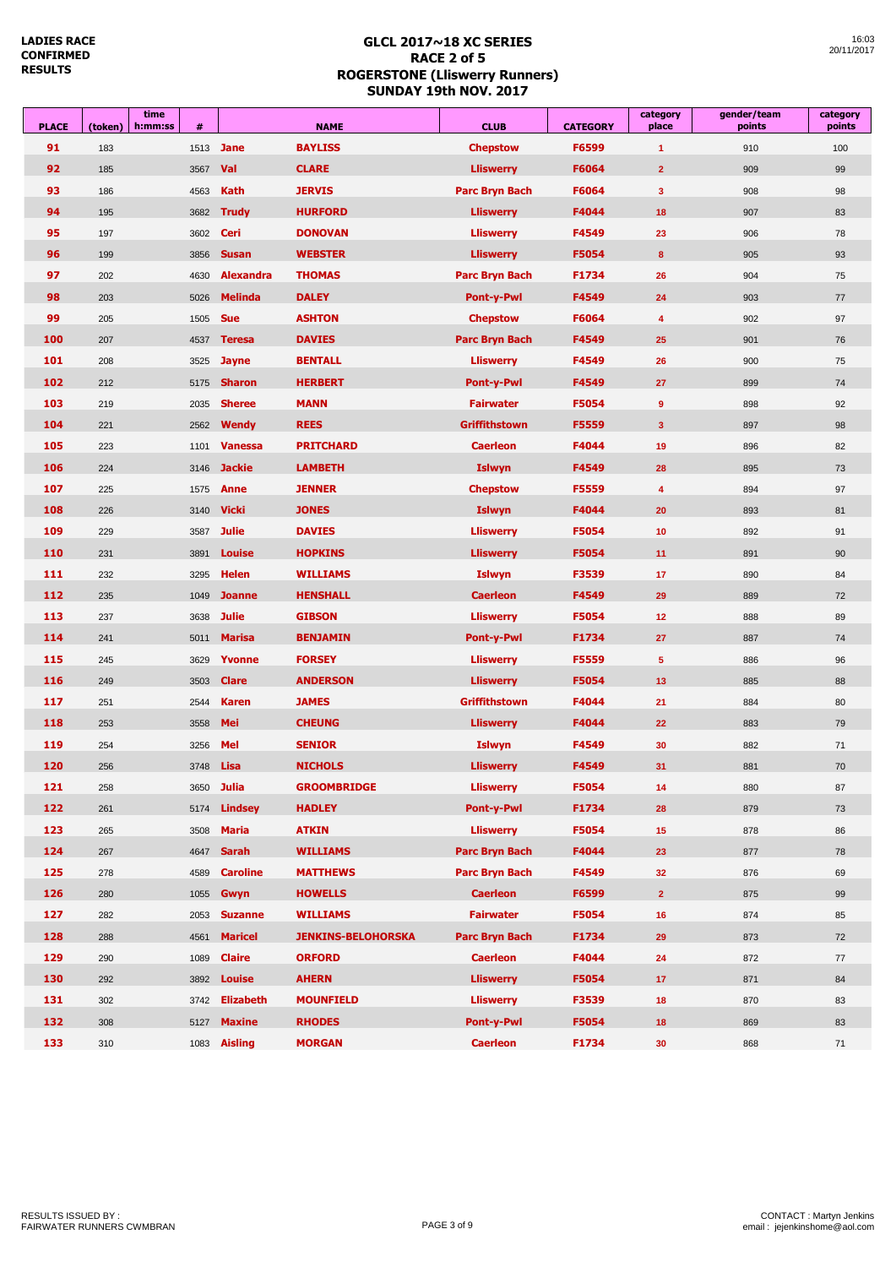**LADIES RACE CONFIRMED RESULTS**

| <b>PLACE</b> | (token) | time<br>h:mm:ss | #    | <b>NAME</b>      |                           | <b>CLUB</b>           | <b>CATEGORY</b> | category<br>place       | gender/team<br>points | category<br>points |
|--------------|---------|-----------------|------|------------------|---------------------------|-----------------------|-----------------|-------------------------|-----------------------|--------------------|
| 91           | 183     |                 | 1513 | <b>Jane</b>      | <b>BAYLISS</b>            | <b>Chepstow</b>       | F6599           | $\blacktriangleleft$    | 910                   | 100                |
| 92           | 185     |                 | 3567 | Val              | <b>CLARE</b>              | <b>Lliswerry</b>      | F6064           | $\overline{2}$          | 909                   | 99                 |
| 93           | 186     |                 | 4563 | <b>Kath</b>      | <b>JERVIS</b>             | Parc Bryn Bach        | F6064           | $\mathbf{3}$            | 908                   | 98                 |
| 94           | 195     |                 | 3682 | <b>Trudy</b>     | <b>HURFORD</b>            | <b>Lliswerry</b>      | F4044           | 18                      | 907                   | 83                 |
| 95           | 197     |                 | 3602 | Ceri             | <b>DONOVAN</b>            | <b>Lliswerry</b>      | F4549           | 23                      | 906                   | 78                 |
| 96           | 199     |                 | 3856 | <b>Susan</b>     | <b>WEBSTER</b>            | <b>Lliswerry</b>      | F5054           | $\bf{8}$                | 905                   | 93                 |
| 97           | 202     |                 | 4630 | <b>Alexandra</b> | <b>THOMAS</b>             | Parc Bryn Bach        | F1734           | 26                      | 904                   | 75                 |
| 98           | 203     |                 | 5026 | <b>Melinda</b>   | <b>DALEY</b>              | <b>Pont-y-Pwl</b>     | F4549           | 24                      | 903                   | 77                 |
| 99           | 205     |                 | 1505 | <b>Sue</b>       | <b>ASHTON</b>             | <b>Chepstow</b>       | F6064           | 4                       | 902                   | 97                 |
| 100          | 207     |                 | 4537 | <b>Teresa</b>    | <b>DAVIES</b>             | <b>Parc Bryn Bach</b> | F4549           | 25                      | 901                   | 76                 |
| 101          | 208     |                 | 3525 | <b>Jayne</b>     | <b>BENTALL</b>            | <b>Lliswerry</b>      | F4549           | 26                      | 900                   | 75                 |
| 102          | 212     |                 | 5175 | <b>Sharon</b>    | <b>HERBERT</b>            | <b>Pont-y-Pwl</b>     | F4549           | 27                      | 899                   | 74                 |
| 103          | 219     |                 | 2035 | <b>Sheree</b>    | <b>MANN</b>               | <b>Fairwater</b>      | F5054           | $\overline{9}$          | 898                   | 92                 |
| 104          | 221     |                 | 2562 | Wendy            | <b>REES</b>               | <b>Griffithstown</b>  | F5559           | $\overline{\mathbf{3}}$ | 897                   | 98                 |
| 105          | 223     |                 | 1101 | <b>Vanessa</b>   | <b>PRITCHARD</b>          | <b>Caerleon</b>       | F4044           | 19                      | 896                   | 82                 |
| 106          | 224     |                 | 3146 | <b>Jackie</b>    | <b>LAMBETH</b>            | <b>Islwyn</b>         | F4549           | 28                      | 895                   | 73                 |
| 107          | 225     |                 | 1575 | <b>Anne</b>      | <b>JENNER</b>             | <b>Chepstow</b>       | F5559           | 4                       | 894                   | 97                 |
| 108          | 226     |                 | 3140 | <b>Vicki</b>     | <b>JONES</b>              | <b>Islwyn</b>         | F4044           | 20                      | 893                   | 81                 |
| 109          | 229     |                 | 3587 | <b>Julie</b>     | <b>DAVIES</b>             | <b>Lliswerry</b>      | F5054           | 10                      | 892                   | 91                 |
| 110          | 231     |                 | 3891 | <b>Louise</b>    | <b>HOPKINS</b>            | <b>Lliswerry</b>      | F5054           | 11                      | 891                   | 90                 |
| 111          | 232     |                 | 3295 | <b>Helen</b>     | <b>WILLIAMS</b>           | <b>Islwyn</b>         | F3539           | 17                      | 890                   | 84                 |
| 112          | 235     |                 | 1049 | <b>Joanne</b>    | <b>HENSHALL</b>           | <b>Caerleon</b>       | F4549           | 29                      | 889                   | 72                 |
| 113          | 237     |                 | 3638 | <b>Julie</b>     | <b>GIBSON</b>             | <b>Lliswerry</b>      | F5054           | 12                      | 888                   | 89                 |
| 114          | 241     |                 | 5011 | <b>Marisa</b>    | <b>BENJAMIN</b>           | <b>Pont-y-Pwl</b>     | F1734           | 27                      | 887                   | 74                 |
| 115          | 245     |                 | 3629 | Yvonne           | <b>FORSEY</b>             | <b>Lliswerry</b>      | F5559           | $5\phantom{.0}$         | 886                   | 96                 |
| 116          | 249     |                 | 3503 | <b>Clare</b>     | <b>ANDERSON</b>           | <b>Lliswerry</b>      | F5054           | 13                      | 885                   | 88                 |
| 117          | 251     |                 | 2544 | <b>Karen</b>     | <b>JAMES</b>              | <b>Griffithstown</b>  | F4044           | 21                      | 884                   | 80                 |
| 118          | 253     |                 | 3558 | Mei              | <b>CHEUNG</b>             | <b>Lliswerry</b>      | F4044           | 22                      | 883                   | 79                 |
| 119          | 254     |                 | 3256 | Mel              | <b>SENIOR</b>             | <b>Islwyn</b>         | F4549           | 30                      | 882                   | 71                 |
| 120          | 256     |                 | 3748 | <b>Lisa</b>      | <b>NICHOLS</b>            | <b>Lliswerry</b>      | F4549           | 31                      | 881                   | 70                 |
| 121          | 258     |                 | 3650 | <b>Julia</b>     | <b>GROOMBRIDGE</b>        | <b>Lliswerry</b>      | F5054           | 14                      | 880                   | 87                 |
| 122          | 261     |                 | 5174 | <b>Lindsey</b>   | <b>HADLEY</b>             | Pont-y-Pwl            | F1734           | 28                      | 879                   | 73                 |
| 123          | 265     |                 | 3508 | <b>Maria</b>     | <b>ATKIN</b>              | <b>Lliswerry</b>      | F5054           | 15                      | 878                   | 86                 |
| 124          | 267     |                 | 4647 | <b>Sarah</b>     | <b>WILLIAMS</b>           | Parc Bryn Bach        | F4044           | 23                      | 877                   | 78                 |
| 125          | 278     |                 | 4589 | <b>Caroline</b>  | <b>MATTHEWS</b>           | Parc Bryn Bach        | F4549           | 32                      | 876                   | 69                 |
| 126          | 280     |                 | 1055 | Gwyn             | <b>HOWELLS</b>            | <b>Caerleon</b>       | F6599           | $\overline{2}$          | 875                   | 99                 |
| 127          | 282     |                 | 2053 | <b>Suzanne</b>   | <b>WILLIAMS</b>           | <b>Fairwater</b>      | F5054           | 16                      | 874                   | 85                 |
| 128          | 288     |                 | 4561 | <b>Maricel</b>   | <b>JENKINS-BELOHORSKA</b> | Parc Bryn Bach        | F1734           | 29                      | 873                   | 72                 |
| 129          | 290     |                 | 1089 | <b>Claire</b>    | <b>ORFORD</b>             | <b>Caerleon</b>       | F4044           | 24                      | 872                   | 77                 |
| 130          | 292     |                 | 3892 | <b>Louise</b>    | <b>AHERN</b>              | <b>Lliswerry</b>      | F5054           | 17 <sub>2</sub>         | 871                   | 84                 |
| 131          | 302     |                 | 3742 | Elizabeth        | <b>MOUNFIELD</b>          | <b>Lliswerry</b>      | F3539           | 18                      | 870                   | 83                 |
| 132          | 308     |                 | 5127 | <b>Maxine</b>    | <b>RHODES</b>             | Pont-y-Pwl            | F5054           | 18                      | 869                   | 83                 |
| 133          | 310     |                 |      | 1083 Aisling     | <b>MORGAN</b>             | <b>Caerleon</b>       | F1734           | 30                      | 868                   | 71                 |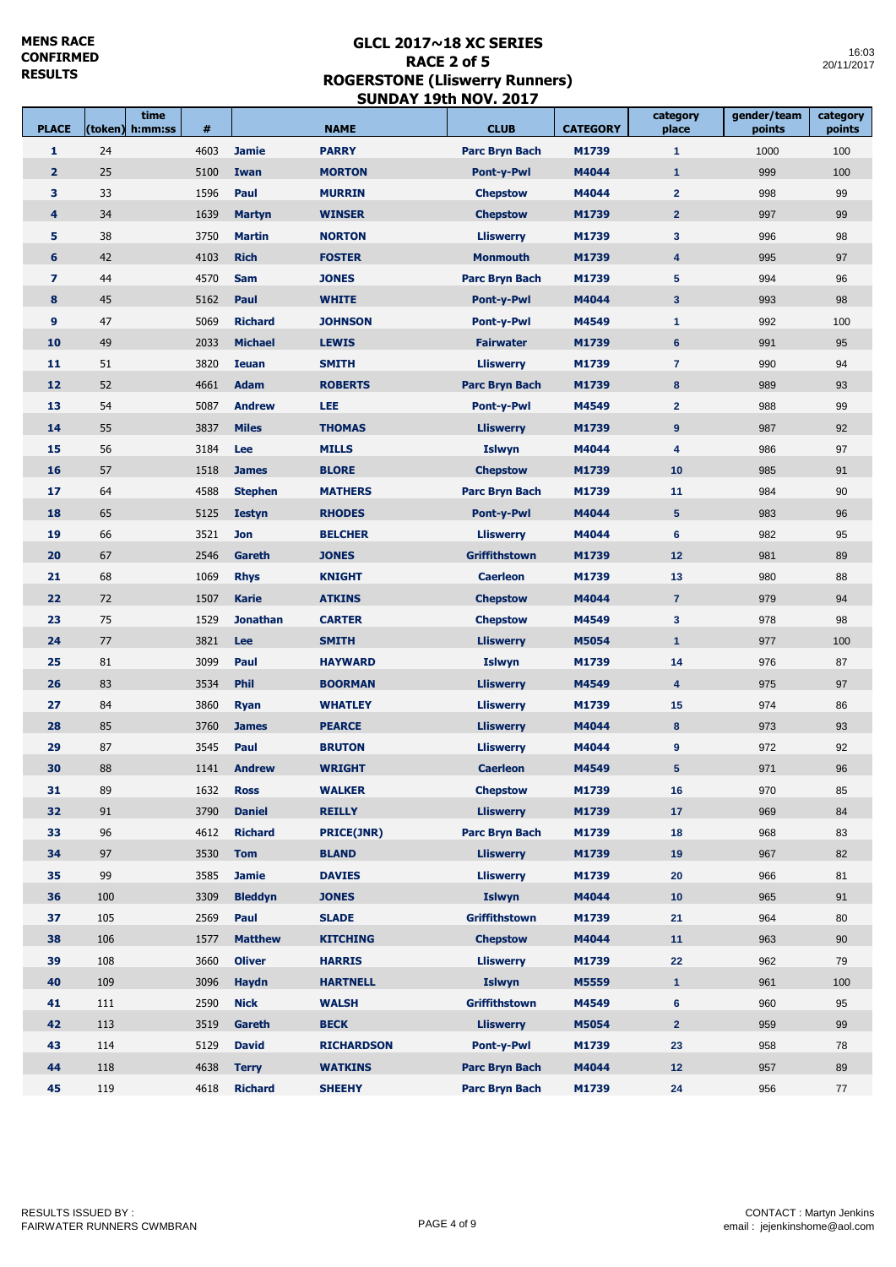Ē

time **the contract of the state of the contract** 

m I

| <b>PLACE</b>   | (token) | time<br>h:mm:ss | #    |                 | <b>NAME</b>       | <b>CLUB</b>           | <b>CATEGORY</b> | category<br>place       | gender/team<br>points | category<br>points |
|----------------|---------|-----------------|------|-----------------|-------------------|-----------------------|-----------------|-------------------------|-----------------------|--------------------|
| 1              | 24      |                 | 4603 | <b>Jamie</b>    | <b>PARRY</b>      | <b>Parc Bryn Bach</b> | M1739           | $\blacktriangleleft$    | 1000                  | 100                |
| $\overline{2}$ | 25      |                 | 5100 | Iwan            | <b>MORTON</b>     | <b>Pont-y-Pwl</b>     | M4044           | $\mathbf{1}$            | 999                   | 100                |
| 3              | 33      |                 | 1596 | Paul            | <b>MURRIN</b>     | <b>Chepstow</b>       | M4044           | $\mathbf{2}$            | 998                   | 99                 |
| 4              | 34      |                 | 1639 | <b>Martyn</b>   | <b>WINSER</b>     | <b>Chepstow</b>       | M1739           | $\overline{2}$          | 997                   | 99                 |
| 5              | 38      |                 | 3750 | <b>Martin</b>   | <b>NORTON</b>     | <b>Lliswerry</b>      | M1739           | $\mathbf{3}$            | 996                   | 98                 |
| $6\phantom{1}$ | 42      |                 | 4103 | <b>Rich</b>     | <b>FOSTER</b>     | <b>Monmouth</b>       | M1739           | $\overline{\mathbf{4}}$ | 995                   | 97                 |
| $\overline{7}$ | 44      |                 | 4570 | <b>Sam</b>      | <b>JONES</b>      | <b>Parc Bryn Bach</b> | M1739           | ${\bf 5}$               | 994                   | 96                 |
| 8              | 45      |                 | 5162 | Paul            | <b>WHITE</b>      | <b>Pont-y-Pwl</b>     | M4044           | $\mathbf{3}$            | 993                   | 98                 |
| 9              | 47      |                 | 5069 | <b>Richard</b>  | <b>JOHNSON</b>    | <b>Pont-y-Pwl</b>     | M4549           | $\mathbf{1}$            | 992                   | 100                |
| 10             | 49      |                 | 2033 | <b>Michael</b>  | <b>LEWIS</b>      | <b>Fairwater</b>      | M1739           | 6                       | 991                   | 95                 |
| 11             | 51      |                 | 3820 | <b>Ieuan</b>    | <b>SMITH</b>      | <b>Lliswerry</b>      | M1739           | $\overline{7}$          | 990                   | 94                 |
| 12             | 52      |                 | 4661 | <b>Adam</b>     | <b>ROBERTS</b>    | <b>Parc Bryn Bach</b> | M1739           | 8                       | 989                   | 93                 |
| 13             | 54      |                 | 5087 | <b>Andrew</b>   | LEE               | Pont-y-Pwl            | M4549           | $\overline{2}$          | 988                   | 99                 |
| 14             | 55      |                 | 3837 | <b>Miles</b>    | <b>THOMAS</b>     | <b>Lliswerry</b>      | M1739           | 9                       | 987                   | 92                 |
| 15             | 56      |                 | 3184 | Lee             | <b>MILLS</b>      | <b>Islwyn</b>         | M4044           | 4                       | 986                   | 97                 |
| 16             | 57      |                 | 1518 | <b>James</b>    | <b>BLORE</b>      | <b>Chepstow</b>       | M1739           | 10                      | 985                   | 91                 |
| 17             | 64      |                 | 4588 | <b>Stephen</b>  | <b>MATHERS</b>    | <b>Parc Bryn Bach</b> | M1739           | 11                      | 984                   | 90                 |
| 18             | 65      |                 | 5125 | <b>Iestyn</b>   | <b>RHODES</b>     | <b>Pont-y-Pwl</b>     | M4044           | $5\phantom{1}$          | 983                   | 96                 |
| 19             | 66      |                 | 3521 | <b>Jon</b>      | <b>BELCHER</b>    | <b>Lliswerry</b>      | M4044           | $6\phantom{1}$          | 982                   | 95                 |
| 20             | 67      |                 | 2546 | Gareth          | <b>JONES</b>      | <b>Griffithstown</b>  | M1739           | 12                      | 981                   | 89                 |
| 21             | 68      |                 | 1069 | <b>Rhys</b>     | <b>KNIGHT</b>     | <b>Caerleon</b>       | M1739           | 13                      | 980                   | 88                 |
| 22             | 72      |                 | 1507 | <b>Karie</b>    | <b>ATKINS</b>     | <b>Chepstow</b>       | M4044           | $\overline{7}$          | 979                   | 94                 |
| 23             | 75      |                 | 1529 | <b>Jonathan</b> | <b>CARTER</b>     | <b>Chepstow</b>       | M4549           | $\mathbf{3}$            | 978                   | 98                 |
| 24             | 77      |                 | 3821 | Lee             | <b>SMITH</b>      | <b>Lliswerry</b>      | M5054           | $\mathbf{1}$            | 977                   | 100                |
| 25             | 81      |                 | 3099 | Paul            | <b>HAYWARD</b>    | <b>Islwyn</b>         | M1739           | 14                      | 976                   | 87                 |
| 26             | 83      |                 | 3534 | <b>Phil</b>     | <b>BOORMAN</b>    | <b>Lliswerry</b>      | M4549           | $\overline{4}$          | 975                   | 97                 |
| 27             | 84      |                 | 3860 | <b>Ryan</b>     | <b>WHATLEY</b>    | <b>Lliswerry</b>      | M1739           | 15                      | 974                   | 86                 |
| 28             | 85      |                 | 3760 | <b>James</b>    | <b>PEARCE</b>     | <b>Lliswerry</b>      | M4044           | 8                       | 973                   | 93                 |
| 29             | 87      |                 | 3545 | Paul            | <b>BRUTON</b>     | <b>Lliswerry</b>      | M4044           | $\boldsymbol{9}$        | 972                   | 92                 |
| 30             | 88      |                 | 1141 | <b>Andrew</b>   | <b>WRIGHT</b>     | <b>Caerleon</b>       | M4549           | $5\phantom{.0}$         | 971                   | 96                 |
| 31             | 89      |                 | 1632 | <b>Ross</b>     | <b>WALKER</b>     | <b>Chepstow</b>       | M1739           | 16                      | 970                   | 85                 |
| 32             | 91      |                 | 3790 | <b>Daniel</b>   | <b>REILLY</b>     | <b>Lliswerry</b>      | M1739           | 17                      | 969                   | 84                 |
| 33             | 96      |                 | 4612 | <b>Richard</b>  | <b>PRICE(JNR)</b> | <b>Parc Bryn Bach</b> | M1739           | 18                      | 968                   | 83                 |
| 34             | 97      |                 | 3530 | <b>Tom</b>      | <b>BLAND</b>      | <b>Lliswerry</b>      | M1739           | 19                      | 967                   | 82                 |
| 35             | 99      |                 | 3585 | <b>Jamie</b>    | <b>DAVIES</b>     | <b>Lliswerry</b>      | M1739           | 20                      | 966                   | 81                 |
| 36             | 100     |                 | 3309 | <b>Bleddyn</b>  | <b>JONES</b>      | <b>Islwyn</b>         | M4044           | 10                      | 965                   | 91                 |
| 37             | 105     |                 | 2569 | Paul            | <b>SLADE</b>      | <b>Griffithstown</b>  | M1739           | 21                      | 964                   | 80                 |
| 38             | 106     |                 | 1577 | <b>Matthew</b>  | <b>KITCHING</b>   | <b>Chepstow</b>       | M4044           | 11                      | 963                   | 90                 |
| 39             | 108     |                 | 3660 | <b>Oliver</b>   | <b>HARRIS</b>     | <b>Lliswerry</b>      | M1739           | 22                      | 962                   | 79                 |
| 40             | 109     |                 | 3096 | <b>Haydn</b>    | <b>HARTNELL</b>   | <b>Islwyn</b>         | M5559           | $\mathbf{1}$            | 961                   | 100                |
| 41             | 111     |                 | 2590 | <b>Nick</b>     | <b>WALSH</b>      | <b>Griffithstown</b>  | M4549           | 6                       | 960                   | 95                 |
| 42             | 113     |                 | 3519 | Gareth          | <b>BECK</b>       | <b>Lliswerry</b>      | M5054           | 2 <sup>2</sup>          | 959                   | 99                 |
| 43             | 114     |                 | 5129 | <b>David</b>    | <b>RICHARDSON</b> | <b>Pont-y-Pwl</b>     | M1739           | 23                      | 958                   | 78                 |
| 44             | 118     |                 | 4638 | <b>Terry</b>    | <b>WATKINS</b>    | <b>Parc Bryn Bach</b> | M4044           | 12                      | 957                   | 89                 |
| 45             | 119     |                 | 4618 | <b>Richard</b>  | <b>SHEEHY</b>     | <b>Parc Bryn Bach</b> | M1739           | 24                      | 956                   | 77                 |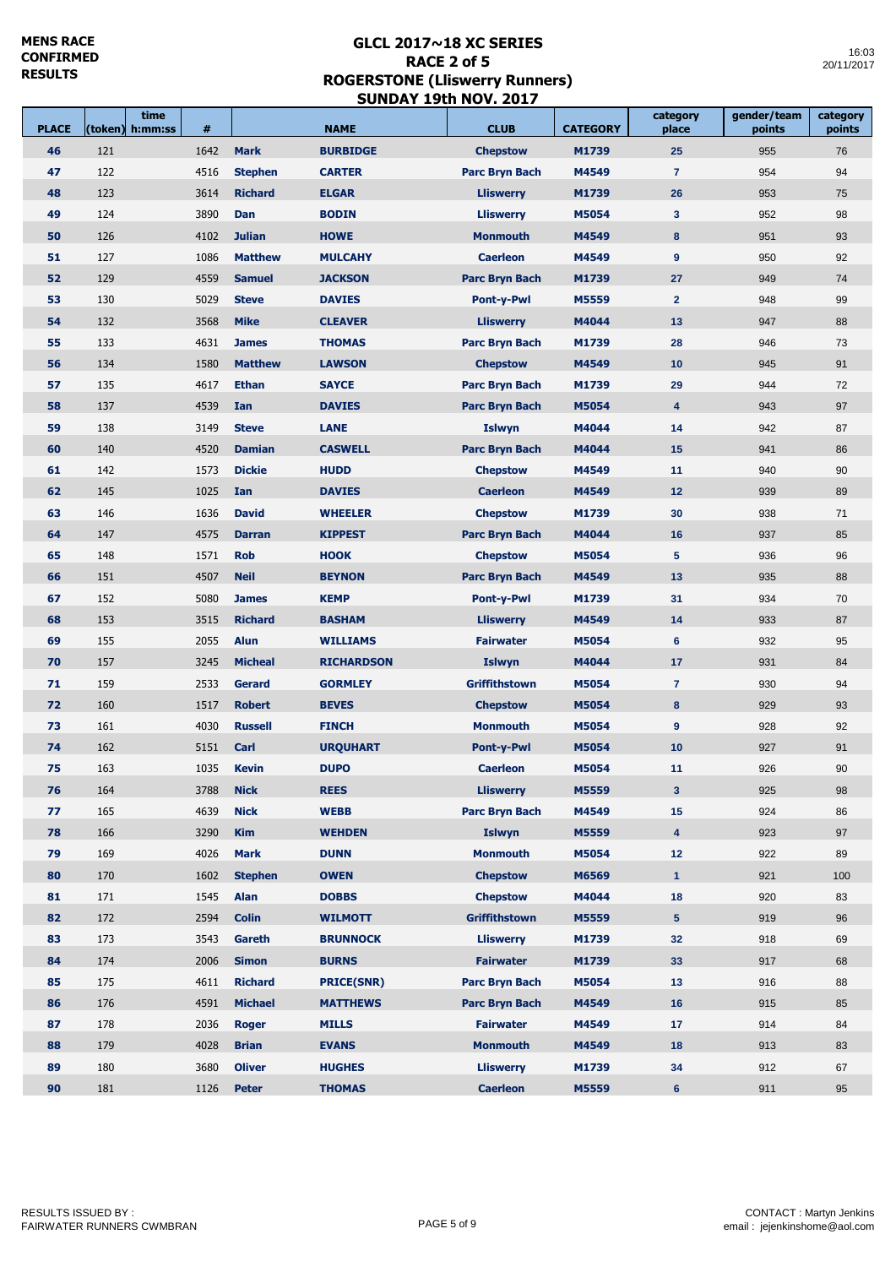$\overline{\phantom{a}}$ 

| <b>PLACE</b> | time<br>(token)<br>h:mm:ss | #    |                | <b>NAME</b>       | <b>CLUB</b>           | <b>CATEGORY</b> | category<br>place       | gender/team<br>points | category<br>points |
|--------------|----------------------------|------|----------------|-------------------|-----------------------|-----------------|-------------------------|-----------------------|--------------------|
| 46           | 121                        | 1642 | <b>Mark</b>    | <b>BURBIDGE</b>   | <b>Chepstow</b>       | M1739           | 25                      | 955                   | 76                 |
| 47           | 122                        | 4516 | <b>Stephen</b> | <b>CARTER</b>     | <b>Parc Bryn Bach</b> | M4549           | $\overline{7}$          | 954                   | 94                 |
| 48           | 123                        | 3614 | <b>Richard</b> | <b>ELGAR</b>      | <b>Lliswerry</b>      | M1739           | 26                      | 953                   | 75                 |
| 49           | 124                        | 3890 | Dan            | <b>BODIN</b>      | <b>Lliswerry</b>      | M5054           | $\mathbf{3}$            | 952                   | 98                 |
| 50           | 126                        | 4102 | <b>Julian</b>  | <b>HOWE</b>       | <b>Monmouth</b>       | M4549           | 8                       | 951                   | 93                 |
| 51           | 127                        | 1086 | <b>Matthew</b> | <b>MULCAHY</b>    | <b>Caerleon</b>       | M4549           | 9                       | 950                   | 92                 |
| 52           | 129                        | 4559 | <b>Samuel</b>  | <b>JACKSON</b>    | <b>Parc Bryn Bach</b> | M1739           | 27                      | 949                   | 74                 |
| 53           | 130                        | 5029 | <b>Steve</b>   | <b>DAVIES</b>     | Pont-y-Pwl            | M5559           | $\overline{2}$          | 948                   | 99                 |
| 54           | 132                        | 3568 | <b>Mike</b>    | <b>CLEAVER</b>    | <b>Lliswerry</b>      | M4044           | 13                      | 947                   | 88                 |
| 55           | 133                        | 4631 | <b>James</b>   | <b>THOMAS</b>     | <b>Parc Bryn Bach</b> | M1739           | 28                      | 946                   | 73                 |
| 56           | 134                        | 1580 | <b>Matthew</b> | <b>LAWSON</b>     | <b>Chepstow</b>       | M4549           | 10                      | 945                   | 91                 |
| 57           | 135                        | 4617 | <b>Ethan</b>   | <b>SAYCE</b>      | <b>Parc Bryn Bach</b> | M1739           | 29                      | 944                   | 72                 |
| 58           | 137                        | 4539 | Ian            | <b>DAVIES</b>     | <b>Parc Bryn Bach</b> | M5054           | $\overline{4}$          | 943                   | 97                 |
| 59           | 138                        | 3149 | <b>Steve</b>   | <b>LANE</b>       | <b>Islwyn</b>         | M4044           | 14                      | 942                   | 87                 |
| 60           | 140                        | 4520 | <b>Damian</b>  | <b>CASWELL</b>    | <b>Parc Bryn Bach</b> | M4044           | 15                      | 941                   | 86                 |
| 61           | 142                        | 1573 | <b>Dickie</b>  | <b>HUDD</b>       | <b>Chepstow</b>       | M4549           | 11                      | 940                   | 90                 |
| 62           | 145                        | 1025 | Ian            | <b>DAVIES</b>     | <b>Caerleon</b>       | M4549           | 12                      | 939                   | 89                 |
| 63           | 146                        | 1636 | <b>David</b>   | <b>WHEELER</b>    | <b>Chepstow</b>       | M1739           | 30                      | 938                   | 71                 |
| 64           | 147                        | 4575 | <b>Darran</b>  | <b>KIPPEST</b>    | <b>Parc Bryn Bach</b> | M4044           | 16                      | 937                   | 85                 |
| 65           | 148                        | 1571 | <b>Rob</b>     | <b>HOOK</b>       | <b>Chepstow</b>       | M5054           | $5\phantom{.0}$         | 936                   | 96                 |
| 66           | 151                        | 4507 | <b>Neil</b>    | <b>BEYNON</b>     | <b>Parc Bryn Bach</b> | M4549           | 13                      | 935                   | 88                 |
| 67           | 152                        | 5080 | <b>James</b>   | <b>KEMP</b>       | <b>Pont-y-Pwl</b>     | M1739           | 31                      | 934                   | 70                 |
| 68           | 153                        | 3515 | <b>Richard</b> | <b>BASHAM</b>     | <b>Lliswerry</b>      | M4549           | 14                      | 933                   | 87                 |
| 69           | 155                        | 2055 | <b>Alun</b>    | <b>WILLIAMS</b>   | <b>Fairwater</b>      | M5054           | $6\phantom{1}6$         | 932                   | 95                 |
| 70           | 157                        | 3245 | <b>Micheal</b> | <b>RICHARDSON</b> | <b>Islwyn</b>         | M4044           | 17                      | 931                   | 84                 |
| 71           | 159                        | 2533 | <b>Gerard</b>  | <b>GORMLEY</b>    | <b>Griffithstown</b>  | M5054           | $\overline{7}$          | 930                   | 94                 |
| 72           | 160                        | 1517 | <b>Robert</b>  | <b>BEVES</b>      | <b>Chepstow</b>       | M5054           | 8                       | 929                   | 93                 |
| 73           | 161                        | 4030 | <b>Russell</b> | <b>FINCH</b>      | <b>Monmouth</b>       | M5054           | 9                       | 928                   | 92                 |
| 74           | 162                        | 5151 | Carl           | <b>URQUHART</b>   | <b>Pont-y-Pwl</b>     | M5054           | 10                      | 927                   | 91                 |
| 75           | 163                        | 1035 | <b>Kevin</b>   | <b>DUPO</b>       | <b>Caerleon</b>       | M5054           | 11                      | 926                   | 90                 |
| 76           | 164                        | 3788 | <b>Nick</b>    | <b>REES</b>       | <b>Lliswerry</b>      | M5559           | 3 <sup>2</sup>          | 925                   | 98                 |
| 77           | 165                        | 4639 | <b>Nick</b>    | <b>WEBB</b>       | <b>Parc Bryn Bach</b> | M4549           | 15                      | 924                   | 86                 |
| 78           | 166                        | 3290 | <b>Kim</b>     | <b>WEHDEN</b>     | <b>Islwyn</b>         | M5559           | $\overline{\mathbf{4}}$ | 923                   | 97                 |
| 79           | 169                        | 4026 | <b>Mark</b>    | <b>DUNN</b>       | <b>Monmouth</b>       | M5054           | 12                      | 922                   | 89                 |
| 80           | 170                        | 1602 | <b>Stephen</b> | <b>OWEN</b>       | <b>Chepstow</b>       | M6569           | $\mathbf{1}$            | 921                   | 100                |
| 81           | 171                        | 1545 | <b>Alan</b>    | <b>DOBBS</b>      | <b>Chepstow</b>       | M4044           | 18                      | 920                   | 83                 |
| 82           | 172                        | 2594 | <b>Colin</b>   | <b>WILMOTT</b>    | <b>Griffithstown</b>  | M5559           | 5 <sub>5</sub>          | 919                   | 96                 |
| 83           | 173                        | 3543 | Gareth         | <b>BRUNNOCK</b>   | <b>Lliswerry</b>      | M1739           | 32                      | 918                   | 69                 |
| 84           | 174                        | 2006 | <b>Simon</b>   | <b>BURNS</b>      | <b>Fairwater</b>      | M1739           | 33                      | 917                   | 68                 |
| 85           | 175                        | 4611 | <b>Richard</b> | <b>PRICE(SNR)</b> | <b>Parc Bryn Bach</b> | M5054           | 13                      | 916                   | 88                 |
| 86           | 176                        | 4591 | <b>Michael</b> | <b>MATTHEWS</b>   | <b>Parc Bryn Bach</b> | M4549           | 16                      | 915                   | 85                 |
| 87           | 178                        | 2036 | <b>Roger</b>   | <b>MILLS</b>      | <b>Fairwater</b>      | M4549           | 17                      | 914                   | 84                 |
| 88           | 179                        | 4028 | <b>Brian</b>   | <b>EVANS</b>      | <b>Monmouth</b>       | M4549           | 18                      | 913                   | 83                 |
| 89           | 180                        | 3680 | <b>Oliver</b>  | <b>HUGHES</b>     | <b>Lliswerry</b>      | M1739           | 34                      | 912                   | 67                 |
| 90           | 181                        | 1126 | <b>Peter</b>   | <b>THOMAS</b>     | <b>Caerleon</b>       | M5559           | $6\phantom{1}$          | 911                   | 95                 |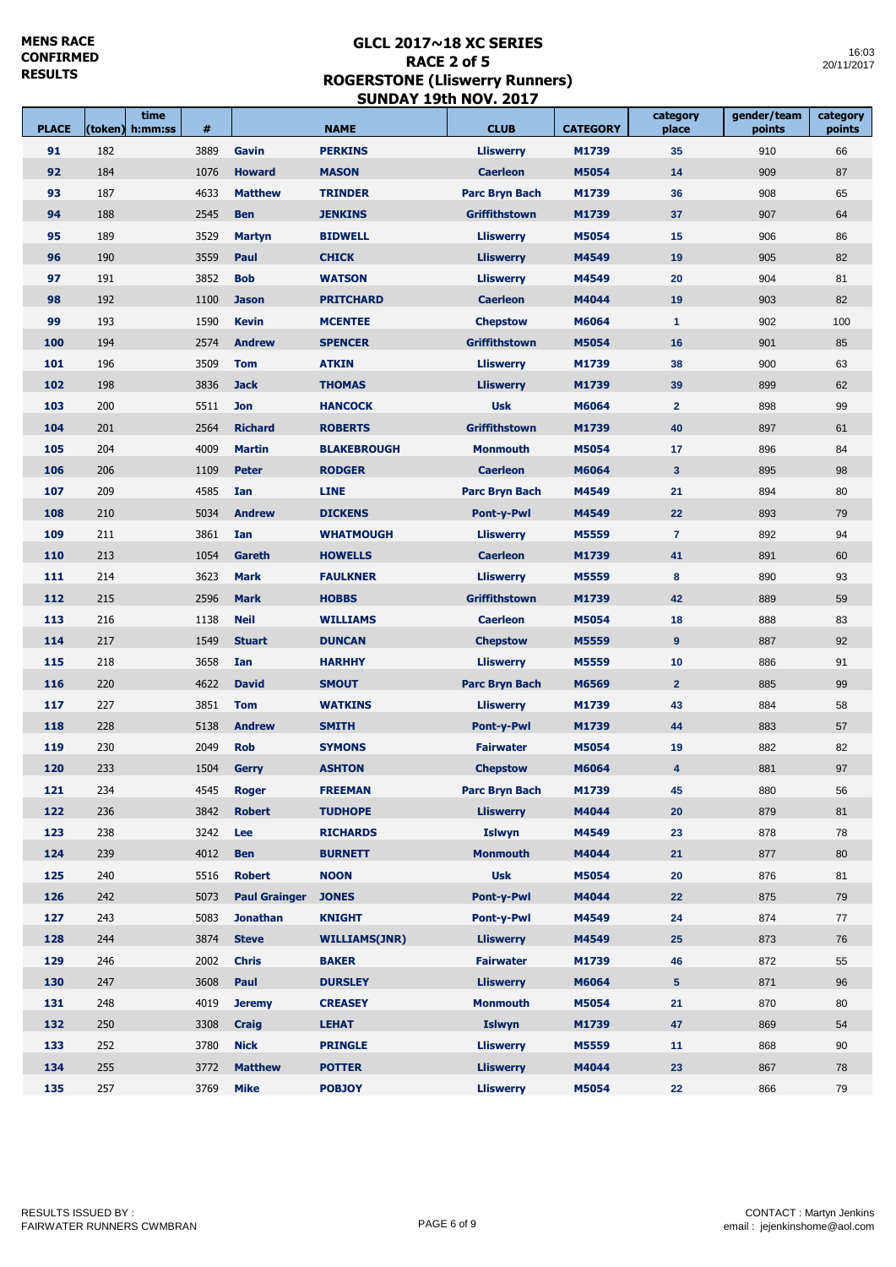$\overline{\phantom{a}}$ 

| <b>PLACE</b> | (token) | time<br>h:mm:ss | #    |                      | <b>NAME</b>          | <b>CLUB</b>           | <b>CATEGORY</b> | category<br>place | gender/team<br>points | category<br>points |
|--------------|---------|-----------------|------|----------------------|----------------------|-----------------------|-----------------|-------------------|-----------------------|--------------------|
| 91           | 182     |                 | 3889 | Gavin                | <b>PERKINS</b>       | <b>Lliswerry</b>      | M1739           | 35                | 910                   | 66                 |
| 92           | 184     |                 | 1076 | <b>Howard</b>        | <b>MASON</b>         | <b>Caerleon</b>       | M5054           | 14                | 909                   | 87                 |
| 93           | 187     |                 | 4633 | <b>Matthew</b>       | <b>TRINDER</b>       | <b>Parc Bryn Bach</b> | M1739           | 36                | 908                   | 65                 |
| 94           | 188     |                 | 2545 | <b>Ben</b>           | <b>JENKINS</b>       | <b>Griffithstown</b>  | M1739           | 37                | 907                   | 64                 |
| 95           | 189     |                 | 3529 | <b>Martyn</b>        | <b>BIDWELL</b>       | <b>Lliswerry</b>      | M5054           | 15                | 906                   | 86                 |
| 96           | 190     |                 | 3559 | Paul                 | <b>CHICK</b>         | <b>Lliswerry</b>      | M4549           | 19                | 905                   | 82                 |
| 97           | 191     |                 | 3852 | <b>Bob</b>           | <b>WATSON</b>        | <b>Lliswerry</b>      | M4549           | 20                | 904                   | 81                 |
| 98           | 192     |                 | 1100 | <b>Jason</b>         | <b>PRITCHARD</b>     | <b>Caerleon</b>       | M4044           | 19                | 903                   | 82                 |
| 99           | 193     |                 | 1590 | <b>Kevin</b>         | <b>MCENTEE</b>       | <b>Chepstow</b>       | M6064           | $\mathbf{1}$      | 902                   | 100                |
| 100          | 194     |                 | 2574 | <b>Andrew</b>        | <b>SPENCER</b>       | <b>Griffithstown</b>  | M5054           | 16                | 901                   | 85                 |
| 101          | 196     |                 | 3509 | <b>Tom</b>           | <b>ATKIN</b>         | <b>Lliswerry</b>      | M1739           | 38                | 900                   | 63                 |
| 102          | 198     |                 | 3836 | <b>Jack</b>          | <b>THOMAS</b>        | <b>Lliswerry</b>      | M1739           | 39                | 899                   | 62                 |
| 103          | 200     |                 | 5511 | <b>Jon</b>           | <b>HANCOCK</b>       | <b>Usk</b>            | M6064           | $\overline{2}$    | 898                   | 99                 |
| 104          | 201     |                 | 2564 | <b>Richard</b>       | <b>ROBERTS</b>       | <b>Griffithstown</b>  | M1739           | 40                | 897                   | 61                 |
| 105          | 204     |                 | 4009 | <b>Martin</b>        | <b>BLAKEBROUGH</b>   | <b>Monmouth</b>       | M5054           | 17                | 896                   | 84                 |
| 106          | 206     |                 | 1109 | <b>Peter</b>         | <b>RODGER</b>        | <b>Caerleon</b>       | M6064           | $\mathbf{3}$      | 895                   | 98                 |
| 107          | 209     |                 | 4585 | Ian                  | <b>LINE</b>          | <b>Parc Bryn Bach</b> | M4549           | 21                | 894                   | 80                 |
| 108          | 210     |                 | 5034 | <b>Andrew</b>        | <b>DICKENS</b>       | <b>Pont-y-Pwl</b>     | M4549           | 22                | 893                   | 79                 |
| 109          | 211     |                 | 3861 | Ian                  | <b>WHATMOUGH</b>     | <b>Lliswerry</b>      | M5559           | $\overline{7}$    | 892                   | 94                 |
| 110          | 213     |                 | 1054 | <b>Gareth</b>        | <b>HOWELLS</b>       | <b>Caerleon</b>       | M1739           | 41                | 891                   | 60                 |
| 111          | 214     |                 | 3623 | <b>Mark</b>          | <b>FAULKNER</b>      | <b>Lliswerry</b>      | M5559           | 8                 | 890                   | 93                 |
| 112          | 215     |                 | 2596 | <b>Mark</b>          | <b>HOBBS</b>         | <b>Griffithstown</b>  | M1739           | 42                | 889                   | 59                 |
| 113          | 216     |                 | 1138 | <b>Neil</b>          | <b>WILLIAMS</b>      | <b>Caerleon</b>       | M5054           | 18                | 888                   | 83                 |
| 114          | 217     |                 | 1549 | <b>Stuart</b>        | <b>DUNCAN</b>        | <b>Chepstow</b>       | M5559           | 9                 | 887                   | 92                 |
| 115          | 218     |                 | 3658 | Ian                  | <b>HARHHY</b>        | <b>Lliswerry</b>      | M5559           | 10                | 886                   | 91                 |
| 116          | 220     |                 | 4622 | <b>David</b>         | <b>SMOUT</b>         | <b>Parc Bryn Bach</b> | M6569           | 2 <sup>2</sup>    | 885                   | 99                 |
| 117          | 227     |                 | 3851 | <b>Tom</b>           | <b>WATKINS</b>       | <b>Lliswerry</b>      | M1739           | 43                | 884                   | 58                 |
| 118          | 228     |                 | 5138 | <b>Andrew</b>        | <b>SMITH</b>         | <b>Pont-y-Pwl</b>     | M1739           | 44                | 883                   | 57                 |
| 119          | 230     |                 | 2049 | <b>Rob</b>           | <b>SYMONS</b>        | <b>Fairwater</b>      | M5054           | 19                | 882                   | 82                 |
| 120          | 233     |                 | 1504 | <b>Gerry</b>         | <b>ASHTON</b>        | <b>Chepstow</b>       | M6064           | 4                 | 881                   | 97                 |
| 121          | 234     |                 | 4545 | <b>Roger</b>         | <b>FREEMAN</b>       | <b>Parc Bryn Bach</b> | M1739           | 45                | 880                   | 56                 |
| 122          | 236     |                 | 3842 | <b>Robert</b>        | <b>TUDHOPE</b>       | <b>Lliswerry</b>      | M4044           | 20                | 879                   | 81                 |
| 123          | 238     |                 | 3242 | Lee                  | <b>RICHARDS</b>      | Islwyn                | M4549           | 23                | 878                   | 78                 |
| 124          | 239     |                 | 4012 | <b>Ben</b>           | <b>BURNETT</b>       | <b>Monmouth</b>       | M4044           | 21                | 877                   | 80                 |
| 125          | 240     |                 | 5516 | <b>Robert</b>        | <b>NOON</b>          | <b>Usk</b>            | M5054           | 20                | 876                   | 81                 |
| 126          | 242     |                 | 5073 | <b>Paul Grainger</b> | <b>JONES</b>         | <b>Pont-v-Pwl</b>     | M4044           | 22                | 875                   | 79                 |
| 127          | 243     |                 | 5083 | <b>Jonathan</b>      | <b>KNIGHT</b>        | Pont-y-Pwl            | M4549           | 24                | 874                   | 77                 |
| 128          | 244     |                 | 3874 | <b>Steve</b>         | <b>WILLIAMS(JNR)</b> | <b>Lliswerry</b>      | M4549           | 25                | 873                   | 76                 |
| 129          | 246     |                 | 2002 | <b>Chris</b>         | <b>BAKER</b>         | <b>Fairwater</b>      | M1739           | 46                | 872                   | 55                 |
| 130          | 247     |                 | 3608 | Paul                 | <b>DURSLEY</b>       | <b>Lliswerry</b>      | M6064           | 5 <sup>5</sup>    | 871                   | 96                 |
| 131          | 248     |                 | 4019 | <b>Jeremy</b>        | <b>CREASEY</b>       | <b>Monmouth</b>       | M5054           | 21                | 870                   | 80                 |
| 132          | 250     |                 | 3308 | <b>Craig</b>         | <b>LEHAT</b>         | <b>Islwyn</b>         | M1739           | 47                | 869                   | 54                 |
| 133          | 252     |                 | 3780 | <b>Nick</b>          | <b>PRINGLE</b>       | <b>Lliswerry</b>      | M5559           | 11                | 868                   | 90                 |
| 134          | 255     |                 | 3772 | <b>Matthew</b>       | <b>POTTER</b>        | <b>Lliswerry</b>      | M4044           | 23                | 867                   | 78                 |
| 135          | 257     |                 | 3769 | <b>Mike</b>          | <b>POBJOY</b>        | <b>Lliswerry</b>      | M5054           | 22                | 866                   | 79                 |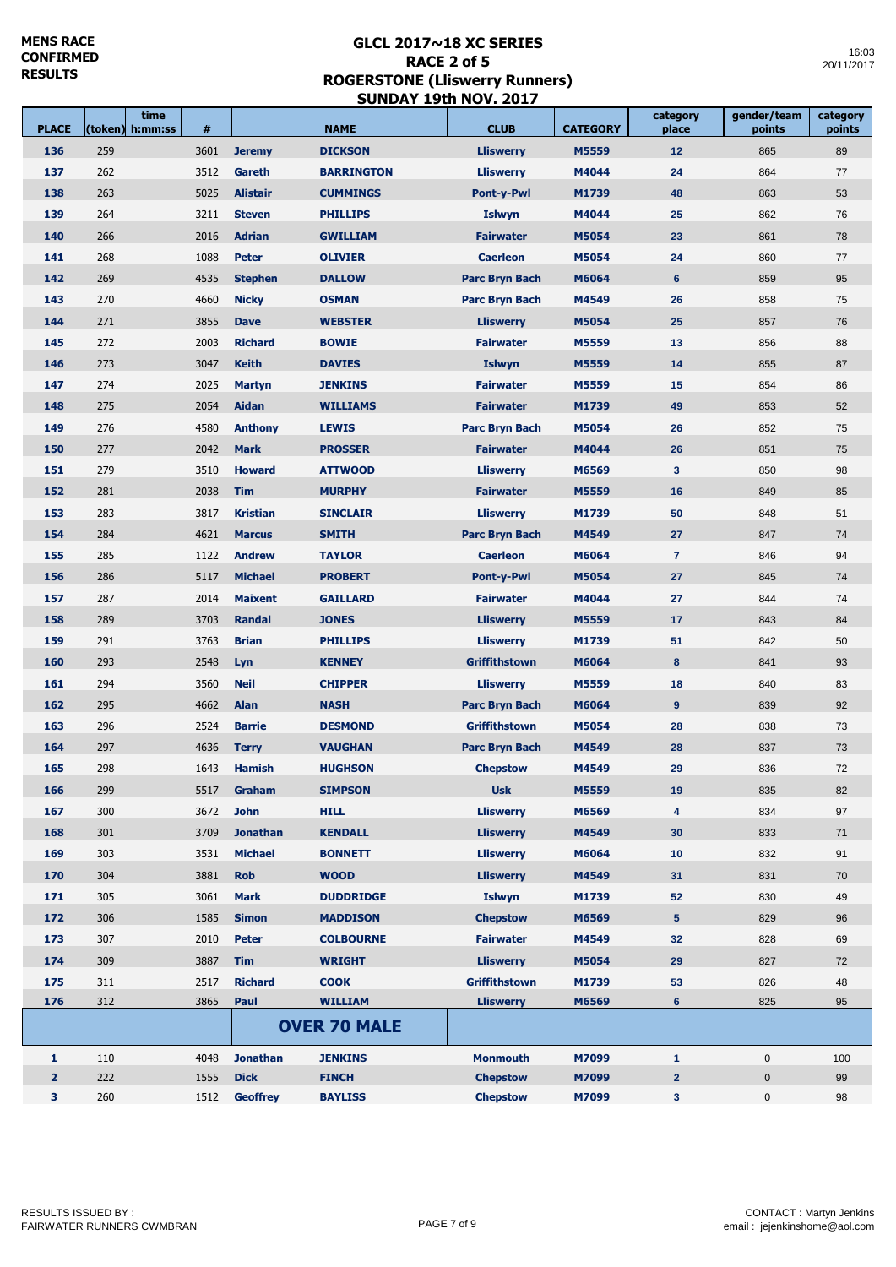Ē

time **the contract of the state of the contract** 

m.

| <b>PLACE</b>   | (token)    | time<br>h:mm:ss | #            |                              | <b>NAME</b>                   | <b>CLUB</b>                              | <b>CATEGORY</b> | category<br>place | gender/team<br>points | category<br>points |
|----------------|------------|-----------------|--------------|------------------------------|-------------------------------|------------------------------------------|-----------------|-------------------|-----------------------|--------------------|
| 136            | 259        |                 | 3601         | <b>Jeremy</b>                | <b>DICKSON</b>                | <b>Lliswerry</b>                         | M5559           | 12                | 865                   | 89                 |
| 137            | 262        |                 | 3512         | Gareth                       | <b>BARRINGTON</b>             | <b>Lliswerry</b>                         | M4044           | 24                | 864                   | 77                 |
| 138            | 263        |                 | 5025         | <b>Alistair</b>              | <b>CUMMINGS</b>               | <b>Pont-y-Pwl</b>                        | M1739           | 48                | 863                   | 53                 |
| 139            | 264        |                 | 3211         | <b>Steven</b>                | <b>PHILLIPS</b>               | <b>Islwyn</b>                            | M4044           | 25                | 862                   | 76                 |
| 140            | 266        |                 | 2016         | <b>Adrian</b>                | <b>GWILLIAM</b>               | <b>Fairwater</b>                         | M5054           | 23                | 861                   | 78                 |
| 141            | 268        |                 | 1088         | <b>Peter</b>                 | <b>OLIVIER</b>                | <b>Caerleon</b>                          | M5054           | 24                | 860                   | 77                 |
| 142            | 269        |                 | 4535         | <b>Stephen</b>               | <b>DALLOW</b>                 | <b>Parc Bryn Bach</b>                    | M6064           | 6                 | 859                   | 95                 |
| 143            | 270        |                 | 4660         | <b>Nicky</b>                 | <b>OSMAN</b>                  | <b>Parc Bryn Bach</b>                    | M4549           | 26                | 858                   | 75                 |
| 144            | 271        |                 | 3855         | <b>Dave</b>                  | <b>WEBSTER</b>                | <b>Lliswerry</b>                         | M5054           | 25                | 857                   | 76                 |
| 145            | 272        |                 | 2003         | <b>Richard</b>               | <b>BOWIE</b>                  | <b>Fairwater</b>                         | M5559           | 13                | 856                   | 88                 |
| 146            | 273        |                 | 3047         | <b>Keith</b>                 | <b>DAVIES</b>                 | <b>Islwyn</b>                            | M5559           | 14                | 855                   | 87                 |
| 147            | 274        |                 | 2025         | <b>Martyn</b>                | <b>JENKINS</b>                | <b>Fairwater</b>                         | M5559           | 15                | 854                   | 86                 |
| 148            | 275        |                 | 2054         | <b>Aidan</b>                 | <b>WILLIAMS</b>               | <b>Fairwater</b>                         | M1739           | 49                | 853                   | 52                 |
| 149            | 276        |                 | 4580         | <b>Anthony</b>               | <b>LEWIS</b>                  | <b>Parc Bryn Bach</b>                    | M5054           | 26                | 852                   | 75                 |
| 150            | 277        |                 | 2042         | <b>Mark</b>                  | <b>PROSSER</b>                | <b>Fairwater</b>                         | M4044           | 26                | 851                   | 75                 |
| 151            | 279        |                 | 3510         | <b>Howard</b>                | <b>ATTWOOD</b>                | <b>Lliswerry</b>                         | M6569           | 3 <sup>2</sup>    | 850                   | 98                 |
| 152            | 281        |                 | 2038         | <b>Tim</b>                   | <b>MURPHY</b>                 | <b>Fairwater</b>                         | M5559           | 16                | 849                   | 85                 |
| 153            | 283        |                 | 3817         | <b>Kristian</b>              | <b>SINCLAIR</b>               | <b>Lliswerry</b>                         | M1739           | 50                | 848                   | 51                 |
| 154            | 284        |                 | 4621         | <b>Marcus</b>                | <b>SMITH</b>                  | <b>Parc Bryn Bach</b>                    | M4549           | 27                | 847                   | 74                 |
| 155            | 285        |                 | 1122         | <b>Andrew</b>                | <b>TAYLOR</b>                 | <b>Caerleon</b>                          | M6064           | $\overline{7}$    | 846                   | 94                 |
| 156            | 286        |                 | 5117         | <b>Michael</b>               | <b>PROBERT</b>                | <b>Pont-y-Pwl</b>                        | M5054           | 27                | 845                   | 74                 |
| 157            | 287        |                 | 2014         | <b>Maixent</b>               | <b>GAILLARD</b>               | <b>Fairwater</b>                         | M4044           | 27                | 844                   | 74                 |
| 158            | 289        |                 | 3703         | <b>Randal</b>                | <b>JONES</b>                  | <b>Lliswerry</b>                         | M5559           | 17                | 843                   | 84                 |
| 159            | 291        |                 | 3763         | <b>Brian</b>                 | <b>PHILLIPS</b>               | <b>Lliswerry</b>                         | M1739           | 51                | 842                   | 50                 |
| 160            | 293        |                 | 2548         | Lyn                          | <b>KENNEY</b>                 | <b>Griffithstown</b>                     | M6064           | 8                 | 841                   | 93                 |
| 161            | 294        |                 | 3560         | <b>Neil</b>                  | <b>CHIPPER</b>                | <b>Lliswerry</b>                         | M5559           | 18                | 840                   | 83                 |
| 162            | 295        |                 | 4662         | <b>Alan</b>                  | <b>NASH</b>                   | <b>Parc Bryn Bach</b>                    | M6064           | 9                 | 839                   | 92                 |
| 163            | 296        |                 | 2524         | <b>Barrie</b>                | <b>DESMOND</b>                | <b>Griffithstown</b>                     | M5054           | 28                | 838                   | 73                 |
| 164            | 297        |                 | 4636         | <b>Terry</b>                 | <b>VAUGHAN</b>                | <b>Parc Bryn Bach</b>                    | M4549           | 28                | 837                   | 73                 |
| 165            | 298        |                 | 1643         | <b>Hamish</b>                | <b>HUGHSON</b>                | <b>Chepstow</b>                          | M4549           | 29                | 836                   | 72                 |
| 166            | 299        |                 | 5517         | Graham                       | <b>SIMPSON</b>                | <b>Usk</b>                               | M5559           | 19                | 835                   | 82                 |
| 167            | 300        |                 | 3672         | <b>John</b>                  | <b>HILL</b>                   | <b>Lliswerry</b>                         | M6569           | 4                 | 834                   | 97                 |
| 168            | 301        |                 | 3709         | <b>Jonathan</b>              | <b>KENDALL</b>                | <b>Lliswerry</b>                         | M4549           | 30                | 833                   | 71                 |
| 169            | 303        |                 | 3531         | <b>Michael</b>               | <b>BONNETT</b>                | <b>Lliswerry</b>                         | M6064           | 10                | 832                   | 91                 |
| 170            | 304        |                 | 3881         | <b>Rob</b>                   | <b>WOOD</b>                   | <b>Lliswerry</b>                         | M4549           | 31                | 831                   | 70                 |
| 171            | 305        |                 | 3061         | <b>Mark</b>                  | <b>DUDDRIDGE</b>              | <b>Islwyn</b>                            | M1739           | 52                | 830                   | 49                 |
| 172            | 306        |                 | 1585         |                              | <b>MADDISON</b>               |                                          | M6569           | 5 <sup>5</sup>    | 829                   | 96                 |
| 173            | 307        |                 |              | <b>Simon</b><br><b>Peter</b> | <b>COLBOURNE</b>              | <b>Chepstow</b><br><b>Fairwater</b>      | M4549           |                   | 828                   |                    |
|                |            |                 | 2010         |                              |                               |                                          |                 | 32                |                       | 69                 |
| 174            | 309        |                 | 3887         | <b>Tim</b>                   | <b>WRIGHT</b>                 | <b>Lliswerry</b><br><b>Griffithstown</b> | M5054           | 29                | 827                   | 72                 |
| 175<br>176     | 311<br>312 |                 | 2517<br>3865 | <b>Richard</b><br>Paul       | <b>COOK</b><br><b>WILLIAM</b> | <b>Lliswerry</b>                         | M1739<br>M6569  | 53<br>6           | 826<br>825            | 48<br>95           |
|                |            |                 |              |                              |                               |                                          |                 |                   |                       |                    |
|                |            |                 |              |                              | <b>OVER 70 MALE</b>           |                                          |                 |                   |                       |                    |
| $\mathbf{1}$   | 110        |                 | 4048         | <b>Jonathan</b>              | <b>JENKINS</b>                | <b>Monmouth</b>                          | M7099           | $\mathbf{1}$      | $\mathbf 0$           | 100                |
| $\overline{2}$ | 222        |                 | 1555         | <b>Dick</b>                  | <b>FINCH</b>                  | <b>Chepstow</b>                          | M7099           | 2 <sup>2</sup>    | $\mathbf 0$           | 99                 |
| 3              | 260        |                 | 1512         | <b>Geoffrey</b>              | <b>BAYLISS</b>                | <b>Chepstow</b>                          | M7099           | 3                 | 0                     | 98                 |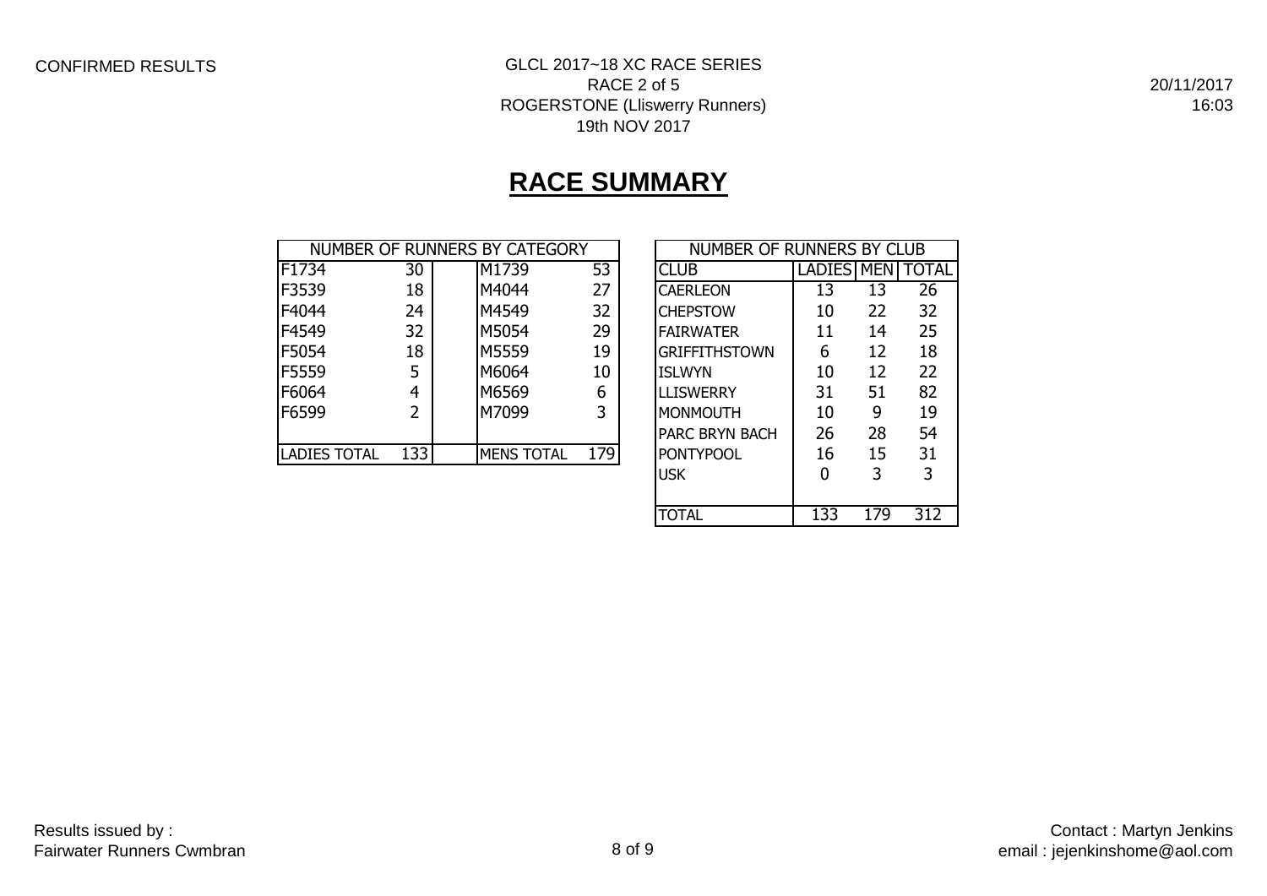## CONFIRMED RESULTS GLCL 2017~18 XC RACE SERIES RACE 2 of 5 ROGERSTONE (Lliswerry Runners) 19th NOV 2017

20/11/2017 16:03

# **RACE SUMMARY**

|                     |     | NUMBER OF RUNNERS BY CATEGORY |     |                        | NUMBER OF RUNNERS BY CLUB |            |       |  |  |
|---------------------|-----|-------------------------------|-----|------------------------|---------------------------|------------|-------|--|--|
| F1734               | 30  | M1739                         | 53  | <b>CLUB</b>            | <b>LADIES</b>             | <b>MEN</b> | TOTAL |  |  |
| F3539               | 18  | M4044                         | 27  | <b>CAERLEON</b>        | 13                        | 13         | 26    |  |  |
| F4044               | 24  | M4549                         | 32  | <b>CHEPSTOW</b>        | 10                        | 22         | 32    |  |  |
| F4549               | 32  | M5054                         | 29  | <b>IFAIRWATER</b>      | 11                        | 14         | 25    |  |  |
| F5054               | 18  | M5559                         | 19  | <b>GRIFFITHSTOWN</b>   | 6                         | 12         | 18    |  |  |
| F5559               | 5   | M6064                         | 10  | <b>ISLWYN</b>          | 10                        | 12         | 22    |  |  |
| F6064               | 4   | M6569                         | 6   | <b>LLISWERRY</b>       | 31                        | 51         | 82    |  |  |
| F6599               | 2   | M7099                         | 3   | MONMOUTH               | 10                        | 9          | 19    |  |  |
|                     |     |                               |     | <b>IPARC BRYN BACH</b> | 26                        | 28         | 54    |  |  |
| <b>LADIES TOTAL</b> | 133 | <b>MENS TOTAL</b>             | 179 | <b>PONTYPOOL</b>       | 16                        | 15         | 31    |  |  |

| NUMBER OF RUNNERS BY CLUB |                   |     |       |  |  |  |  |  |  |  |
|---------------------------|-------------------|-----|-------|--|--|--|--|--|--|--|
| CI UB                     | <b>LADIES MEN</b> |     | TOTAL |  |  |  |  |  |  |  |
| CAERLEON                  | 13                | 13  | 26    |  |  |  |  |  |  |  |
| <b>CHEPSTOW</b>           | 10                | 22  | 32    |  |  |  |  |  |  |  |
| <b>FAIRWATER</b>          | 11                | 14  | 25    |  |  |  |  |  |  |  |
| <b>GRIFFITHSTOWN</b>      | 6                 | 12  | 18    |  |  |  |  |  |  |  |
| <b>ISLWYN</b>             | 10                | 12  | 22    |  |  |  |  |  |  |  |
| LLISWERRY                 | 31                | 51  | 82    |  |  |  |  |  |  |  |
| <b>MONMOUTH</b>           | 10                | 9   | 19    |  |  |  |  |  |  |  |
| <b>PARC BRYN BACH</b>     | 26                | 28  | 54    |  |  |  |  |  |  |  |
| <b>PONTYPOOL</b>          | 16                | 15  | 31    |  |  |  |  |  |  |  |
| <b>USK</b>                | O                 | 3   | 3     |  |  |  |  |  |  |  |
|                           |                   |     |       |  |  |  |  |  |  |  |
| TOTAL                     | 133               | 179 | 312   |  |  |  |  |  |  |  |